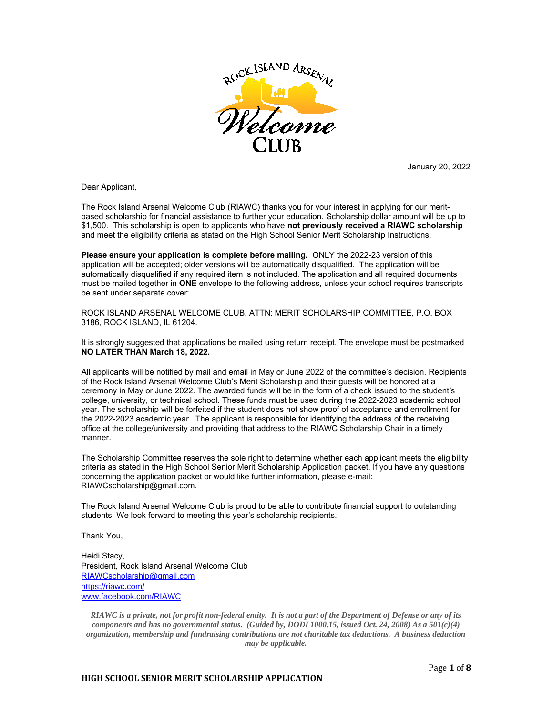

January 20, 2022

Dear Applicant,

The Rock Island Arsenal Welcome Club (RIAWC) thanks you for your interest in applying for our meritbased scholarship for financial assistance to further your education. Scholarship dollar amount will be up to \$1,500. This scholarship is open to applicants who have **not previously received a RIAWC scholarship** and meet the eligibility criteria as stated on the High School Senior Merit Scholarship Instructions.

**Please ensure your application is complete before mailing.** ONLY the 2022-23 version of this application will be accepted; older versions will be automatically disqualified. The application will be automatically disqualified if any required item is not included. The application and all required documents must be mailed together in **ONE** envelope to the following address, unless your school requires transcripts be sent under separate cover:

ROCK ISLAND ARSENAL WELCOME CLUB, ATTN: MERIT SCHOLARSHIP COMMITTEE, P.O. BOX 3186, ROCK ISLAND, IL 61204.

It is strongly suggested that applications be mailed using return receipt. The envelope must be postmarked **NO LATER THAN March 18, 2022.**

All applicants will be notified by mail and email in May or June 2022 of the committee's decision. Recipients of the Rock Island Arsenal Welcome Club's Merit Scholarship and their guests will be honored at a ceremony in May or June 2022. The awarded funds will be in the form of a check issued to the student's college, university, or technical school. These funds must be used during the 2022-2023 academic school year. The scholarship will be forfeited if the student does not show proof of acceptance and enrollment for the 2022-2023 academic year. The applicant is responsible for identifying the address of the receiving office at the college/university and providing that address to the RIAWC Scholarship Chair in a timely manner.

The Scholarship Committee reserves the sole right to determine whether each applicant meets the eligibility criteria as stated in the High School Senior Merit Scholarship Application packet. If you have any questions concerning the application packet or would like further information, please e-mail: RIAWCscholarship@gmail.com.

The Rock Island Arsenal Welcome Club is proud to be able to contribute financial support to outstanding students. We look forward to meeting this year's scholarship recipients.

Thank You,

Heidi Stacy, President, Rock Island Arsenal Welcome Club RIAWCscholarship@gmail.com https://riawc.com/ www.facebook.com/RIAWC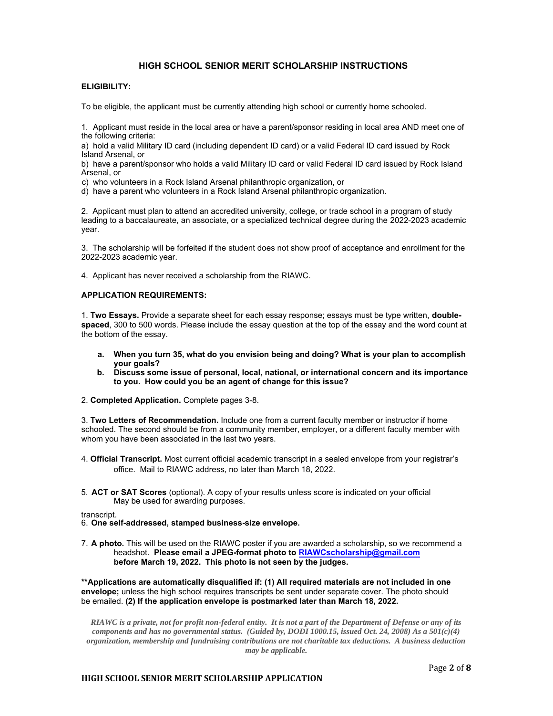## **HIGH SCHOOL SENIOR MERIT SCHOLARSHIP INSTRUCTIONS**

#### **ELIGIBILITY:**

To be eligible, the applicant must be currently attending high school or currently home schooled.

1. Applicant must reside in the local area or have a parent/sponsor residing in local area AND meet one of the following criteria:

a) hold a valid Military ID card (including dependent ID card) or a valid Federal ID card issued by Rock Island Arsenal, or

b) have a parent/sponsor who holds a valid Military ID card or valid Federal ID card issued by Rock Island Arsenal, or

c) who volunteers in a Rock Island Arsenal philanthropic organization, or

d) have a parent who volunteers in a Rock Island Arsenal philanthropic organization.

2. Applicant must plan to attend an accredited university, college, or trade school in a program of study leading to a baccalaureate, an associate, or a specialized technical degree during the 2022-2023 academic year.

3. The scholarship will be forfeited if the student does not show proof of acceptance and enrollment for the 2022-2023 academic year.

4. Applicant has never received a scholarship from the RIAWC.

#### **APPLICATION REQUIREMENTS:**

1. **Two Essays.** Provide a separate sheet for each essay response; essays must be type written, **doublespaced**, 300 to 500 words. Please include the essay question at the top of the essay and the word count at the bottom of the essay.

- **a. When you turn 35, what do you envision being and doing? What is your plan to accomplish your goals?**
- **b. Discuss some issue of personal, local, national, or international concern and its importance to you. How could you be an agent of change for this issue?**
- 2. **Completed Application.** Complete pages 3-8.

3. **Two Letters of Recommendation.** Include one from a current faculty member or instructor if home schooled. The second should be from a community member, employer, or a different faculty member with whom you have been associated in the last two years.

- 4. **Official Transcript.** Most current official academic transcript in a sealed envelope from your registrar's office. Mail to RIAWC address, no later than March 18, 2022.
- 5. **ACT or SAT Scores** (optional). A copy of your results unless score is indicated on your official May be used for awarding purposes.

transcript.

6. **One self-addressed, stamped business-size envelope.**

7. **A photo.** This will be used on the RIAWC poster if you are awarded a scholarship, so we recommend a headshot. **Please email a JPEG-format photo to RIAWCscholarship@gmail.com before March 19, 2022. This photo is not seen by the judges.** 

**\*\*Applications are automatically disqualified if: (1) All required materials are not included in one envelope;** unless the high school requires transcripts be sent under separate cover. The photo should be emailed. **(2) If the application envelope is postmarked later than March 18, 2022.** 

*RIAWC is a private, not for profit non-federal entity. It is not a part of the Department of Defense or any of its components and has no governmental status. (Guided by, DODI 1000.15, issued Oct. 24, 2008) As a 501(c)(4) organization, membership and fundraising contributions are not charitable tax deductions. A business deduction may be applicable.* 

#### **HIGH SCHOOL SENIOR MERIT SCHOLARSHIP APPLICATION**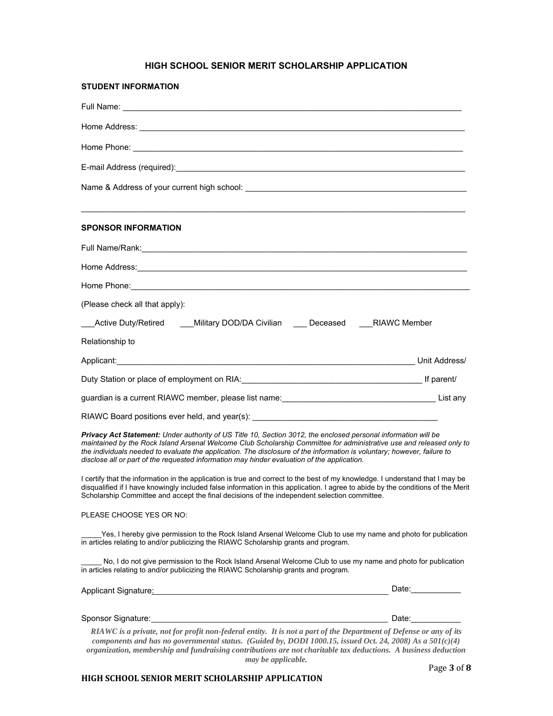# **HIGH SCHOOL SENIOR MERIT SCHOLARSHIP APPLICATION**

| <b>STUDENT INFORMATION</b>                                                                                                                                                                                                                                                                                                                                                                                                                                       |                    |
|------------------------------------------------------------------------------------------------------------------------------------------------------------------------------------------------------------------------------------------------------------------------------------------------------------------------------------------------------------------------------------------------------------------------------------------------------------------|--------------------|
|                                                                                                                                                                                                                                                                                                                                                                                                                                                                  |                    |
| Home Address: <u>example and the contract of the contract of the contract of the contract of the contract of the contract of the contract of the contract of the contract of the contract of the contract of the contract of the</u>                                                                                                                                                                                                                             |                    |
|                                                                                                                                                                                                                                                                                                                                                                                                                                                                  |                    |
|                                                                                                                                                                                                                                                                                                                                                                                                                                                                  |                    |
|                                                                                                                                                                                                                                                                                                                                                                                                                                                                  |                    |
| <b>SPONSOR INFORMATION</b>                                                                                                                                                                                                                                                                                                                                                                                                                                       |                    |
|                                                                                                                                                                                                                                                                                                                                                                                                                                                                  |                    |
| Home Address: <u>Alexander Communication</u> Communication of the Communication Communication Communication Communication                                                                                                                                                                                                                                                                                                                                        |                    |
| Home Phone: New York State And The Contract of the Contract of the Contract of the Contract of the Contract of the Contract of the Contract of the Contract of the Contract of the Contract of the Contract of the Contract of                                                                                                                                                                                                                                   |                    |
| (Please check all that apply):                                                                                                                                                                                                                                                                                                                                                                                                                                   |                    |
| ___Active Duty/Retired ____Military DOD/DA Civilian ____ Deceased ____RIAWC Member                                                                                                                                                                                                                                                                                                                                                                               |                    |
| Relationship to                                                                                                                                                                                                                                                                                                                                                                                                                                                  |                    |
|                                                                                                                                                                                                                                                                                                                                                                                                                                                                  |                    |
|                                                                                                                                                                                                                                                                                                                                                                                                                                                                  |                    |
| guardian is a current RIAWC member, please list name: [198] [2012] [2012] [2012] [2012] [2012] [2012] [2012] [                                                                                                                                                                                                                                                                                                                                                   | List any           |
| RIAWC Board positions ever held, and year(s): ___________________________________                                                                                                                                                                                                                                                                                                                                                                                |                    |
| Privacy Act Statement: Under authority of US Title 10, Section 3012, the enclosed personal information will be<br>maintained by the Rock Island Arsenal Welcome Club Scholarship Committee for administrative use and released only to<br>the individuals needed to evaluate the application. The disclosure of the information is voluntary; however, failure to<br>disclose all or part of the requested information may hinder evaluation of the application. |                    |
| I certify that the information in the application is true and correct to the best of my knowledge. I understand that I may be<br>disqualified if I have knowingly included false information in this application. I agree to abide by the conditions of the Merit<br>Scholarship Committee and accept the final decisions of the independent selection committee.                                                                                                |                    |
| PLEASE CHOOSE YES OR NO:                                                                                                                                                                                                                                                                                                                                                                                                                                         |                    |
| Yes, I hereby give permission to the Rock Island Arsenal Welcome Club to use my name and photo for publication<br>in articles relating to and/or publicizing the RIAWC Scholarship grants and program.                                                                                                                                                                                                                                                           |                    |
| No, I do not give permission to the Rock Island Arsenal Welcome Club to use my name and photo for publication<br>in articles relating to and/or publicizing the RIAWC Scholarship grants and program.                                                                                                                                                                                                                                                            |                    |
| Applicant Signature: Manual Contract of Applicant Signature: Manual Contract of Applicant Signature                                                                                                                                                                                                                                                                                                                                                              | Date:_____________ |
|                                                                                                                                                                                                                                                                                                                                                                                                                                                                  |                    |
| RIAWC is a private, not for profit non-federal entity. It is not a part of the Department of Defense or any of its<br>components and has no governmental status. (Guided by, DODI 1000.15, issued Oct. 24, 2008) As a 501(c)(4)<br>organization, membership and fundraising contributions are not charitable tax deductions. A business deduction<br>may be applicable.                                                                                          |                    |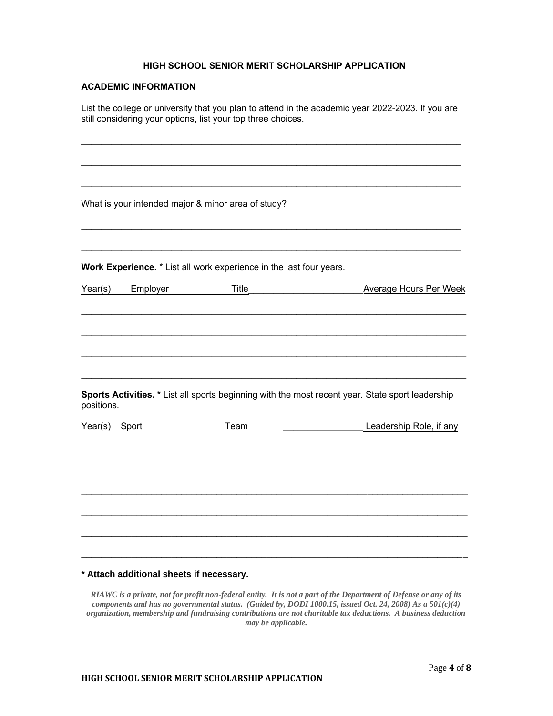### **HIGH SCHOOL SENIOR MERIT SCHOLARSHIP APPLICATION**

## **ACADEMIC INFORMATION**

List the college or university that you plan to attend in the academic year 2022-2023. If you are still considering your options, list your top three choices.

\_\_\_\_\_\_\_\_\_\_\_\_\_\_\_\_\_\_\_\_\_\_\_\_\_\_\_\_\_\_\_\_\_\_\_\_\_\_\_\_\_\_\_\_\_\_\_\_\_\_\_\_\_\_\_\_\_\_\_\_\_\_\_\_\_\_\_\_\_\_\_\_\_\_\_\_

\_\_\_\_\_\_\_\_\_\_\_\_\_\_\_\_\_\_\_\_\_\_\_\_\_\_\_\_\_\_\_\_\_\_\_\_\_\_\_\_\_\_\_\_\_\_\_\_\_\_\_\_\_\_\_\_\_\_\_\_\_\_\_\_\_\_\_\_\_\_\_\_\_\_\_\_

\_\_\_\_\_\_\_\_\_\_\_\_\_\_\_\_\_\_\_\_\_\_\_\_\_\_\_\_\_\_\_\_\_\_\_\_\_\_\_\_\_\_\_\_\_\_\_\_\_\_\_\_\_\_\_\_\_\_\_\_\_\_\_\_\_\_\_\_\_\_\_\_\_\_\_\_ What is your intended major & minor area of study? \_\_\_\_\_\_\_\_\_\_\_\_\_\_\_\_\_\_\_\_\_\_\_\_\_\_\_\_\_\_\_\_\_\_\_\_\_\_\_\_\_\_\_\_\_\_\_\_\_\_\_\_\_\_\_\_\_\_\_\_\_\_\_\_\_\_\_\_\_\_\_\_\_\_\_\_ \_\_\_\_\_\_\_\_\_\_\_\_\_\_\_\_\_\_\_\_\_\_\_\_\_\_\_\_\_\_\_\_\_\_\_\_\_\_\_\_\_\_\_\_\_\_\_\_\_\_\_\_\_\_\_\_\_\_\_\_\_\_\_\_\_\_\_\_\_\_\_\_\_\_\_\_ **Work Experience.** \* List all work experience in the last four years. Year(s) Employer Title\_\_\_\_\_\_\_\_\_\_\_\_\_\_\_\_\_\_\_\_\_\_\_Average Hours Per Week \_\_\_\_\_\_\_\_\_\_\_\_\_\_\_\_\_\_\_\_\_\_\_\_\_\_\_\_\_\_\_\_\_\_\_\_\_\_\_\_\_\_\_\_\_\_\_\_\_\_\_\_\_\_\_\_\_\_\_\_\_\_\_\_\_\_\_\_\_\_\_\_\_\_\_\_\_ \_\_\_\_\_\_\_\_\_\_\_\_\_\_\_\_\_\_\_\_\_\_\_\_\_\_\_\_\_\_\_\_\_\_\_\_\_\_\_\_\_\_\_\_\_\_\_\_\_\_\_\_\_\_\_\_\_\_\_\_\_\_\_\_\_\_\_\_\_\_\_\_\_\_\_\_\_ \_\_\_\_\_\_\_\_\_\_\_\_\_\_\_\_\_\_\_\_\_\_\_\_\_\_\_\_\_\_\_\_\_\_\_\_\_\_\_\_\_\_\_\_\_\_\_\_\_\_\_\_\_\_\_\_\_\_\_\_\_\_\_\_\_\_\_\_\_\_\_\_\_\_\_\_\_ \_\_\_\_\_\_\_\_\_\_\_\_\_\_\_\_\_\_\_\_\_\_\_\_\_\_\_\_\_\_\_\_\_\_\_\_\_\_\_\_\_\_\_\_\_\_\_\_\_\_\_\_\_\_\_\_\_\_\_\_\_\_\_\_\_\_\_\_\_\_\_\_\_\_\_\_\_ **Sports Activities. \*** List all sports beginning with the most recent year. State sport leadership positions. Year(s) Sport Team Communication Team Leadership Role, if any \_\_\_\_\_\_\_\_\_\_\_\_\_\_\_\_\_\_\_\_\_\_\_\_\_\_\_\_\_\_\_\_\_\_\_\_\_\_\_\_\_\_\_\_\_\_\_\_\_\_\_\_\_\_\_\_\_\_\_\_\_\_\_\_\_\_\_\_\_\_\_\_\_\_\_\_\_ \_\_\_\_\_\_\_\_\_\_\_\_\_\_\_\_\_\_\_\_\_\_\_\_\_\_\_\_\_\_\_\_\_\_\_\_\_\_\_\_\_\_\_\_\_\_\_\_\_\_\_\_\_\_\_\_\_\_\_\_\_\_\_\_\_\_\_\_\_\_\_\_\_\_\_\_\_ \_\_\_\_\_\_\_\_\_\_\_\_\_\_\_\_\_\_\_\_\_\_\_\_\_\_\_\_\_\_\_\_\_\_\_\_\_\_\_\_\_\_\_\_\_\_\_\_\_\_\_\_\_\_\_\_\_\_\_\_\_\_\_\_\_\_\_\_\_\_\_\_\_\_\_\_\_

## **\* Attach additional sheets if necessary.**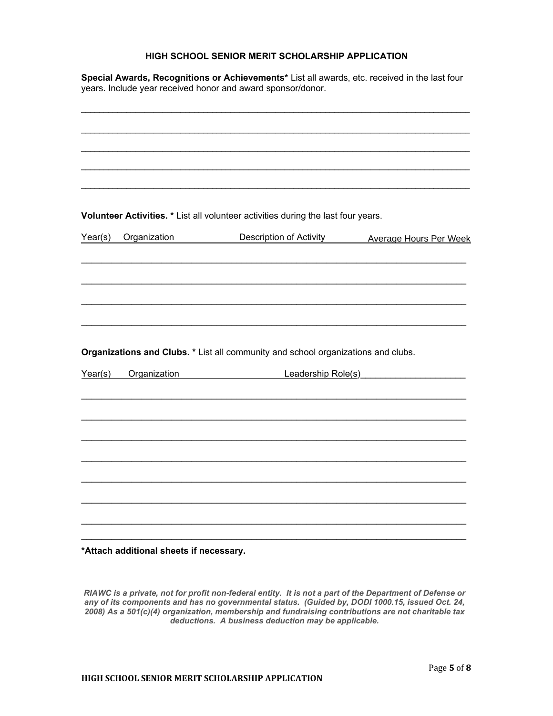# **HIGH SCHOOL SENIOR MERIT SCHOLARSHIP APPLICATION**

**Special Awards, Recognitions or Achievements\*** List all awards, etc. received in the last four years. Include year received honor and award sponsor/donor.

|                                                |              | Volunteer Activities. * List all volunteer activities during the last four years. |                                                |  |  |
|------------------------------------------------|--------------|-----------------------------------------------------------------------------------|------------------------------------------------|--|--|
| Year(s)                                        | Organization |                                                                                   | Description of Activity Average Hours Per Week |  |  |
|                                                |              |                                                                                   |                                                |  |  |
|                                                |              |                                                                                   |                                                |  |  |
|                                                |              |                                                                                   |                                                |  |  |
|                                                |              |                                                                                   |                                                |  |  |
|                                                |              |                                                                                   |                                                |  |  |
|                                                |              |                                                                                   |                                                |  |  |
|                                                |              | Organizations and Clubs. * List all community and school organizations and clubs. |                                                |  |  |
| Organization <b>Company Company</b><br>Year(s) |              |                                                                                   | Leadership Role(s)<br>Leadership Role(s)       |  |  |
|                                                |              |                                                                                   |                                                |  |  |
|                                                |              |                                                                                   |                                                |  |  |
|                                                |              |                                                                                   |                                                |  |  |
|                                                |              |                                                                                   |                                                |  |  |
|                                                |              |                                                                                   |                                                |  |  |
|                                                |              |                                                                                   |                                                |  |  |
|                                                |              |                                                                                   |                                                |  |  |
|                                                |              |                                                                                   |                                                |  |  |
|                                                |              |                                                                                   |                                                |  |  |
|                                                |              |                                                                                   |                                                |  |  |

**\*Attach additional sheets if necessary.**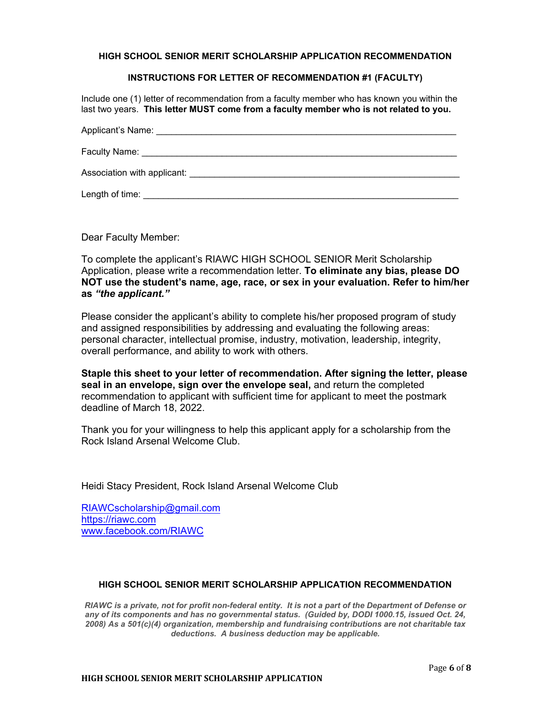**HIGH SCHOOL SENIOR MERIT SCHOLARSHIP APPLICATION RECOMMENDATION** 

### **INSTRUCTIONS FOR LETTER OF RECOMMENDATION #1 (FACULTY)**

Include one (1) letter of recommendation from a faculty member who has known you within the last two years. **This letter MUST come from a faculty member who is not related to you.** 

| Applicant's Name:                                                           |
|-----------------------------------------------------------------------------|
|                                                                             |
| Association with applicant: North and Secretary Association with applicant: |
| Length of time:                                                             |

Dear Faculty Member:

To complete the applicant's RIAWC HIGH SCHOOL SENIOR Merit Scholarship Application, please write a recommendation letter. **To eliminate any bias, please DO NOT use the student's name, age, race, or sex in your evaluation. Refer to him/her as** *"the applicant."* 

Please consider the applicant's ability to complete his/her proposed program of study and assigned responsibilities by addressing and evaluating the following areas: personal character, intellectual promise, industry, motivation, leadership, integrity, overall performance, and ability to work with others.

**Staple this sheet to your letter of recommendation. After signing the letter, please seal in an envelope, sign over the envelope seal,** and return the completed recommendation to applicant with sufficient time for applicant to meet the postmark deadline of March 18, 2022.

Thank you for your willingness to help this applicant apply for a scholarship from the Rock Island Arsenal Welcome Club.

Heidi Stacy President, Rock Island Arsenal Welcome Club

RIAWCscholarship@gmail.com https://riawc.com www.facebook.com/RIAWC

### **HIGH SCHOOL SENIOR MERIT SCHOLARSHIP APPLICATION RECOMMENDATION**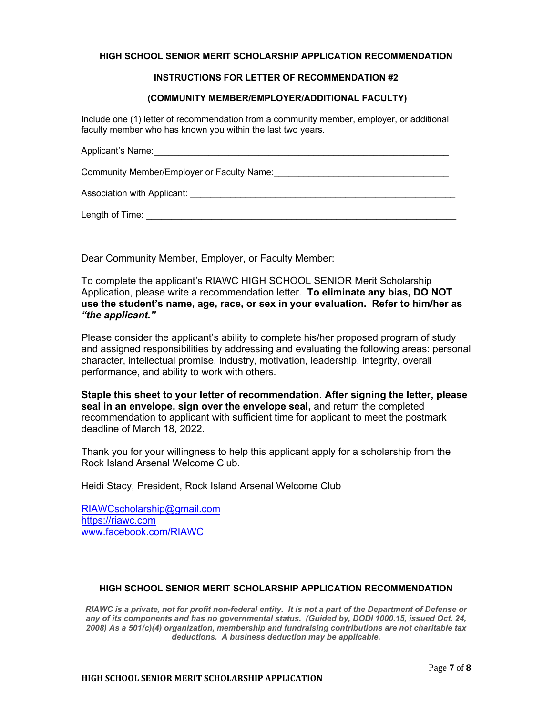### **HIGH SCHOOL SENIOR MERIT SCHOLARSHIP APPLICATION RECOMMENDATION**

## **INSTRUCTIONS FOR LETTER OF RECOMMENDATION #2**

### **(COMMUNITY MEMBER/EMPLOYER/ADDITIONAL FACULTY)**

Include one (1) letter of recommendation from a community member, employer, or additional faculty member who has known you within the last two years.

| Applicant's Name:                          |
|--------------------------------------------|
| Community Member/Employer or Faculty Name: |
| Association with Applicant:                |

 $L$ ength of Time:  $\Box$ 

Dear Community Member, Employer, or Faculty Member:

To complete the applicant's RIAWC HIGH SCHOOL SENIOR Merit Scholarship Application, please write a recommendation letter. **To eliminate any bias, DO NOT use the student's name, age, race, or sex in your evaluation. Refer to him/her as**  *"the applicant."*

Please consider the applicant's ability to complete his/her proposed program of study and assigned responsibilities by addressing and evaluating the following areas: personal character, intellectual promise, industry, motivation, leadership, integrity, overall performance, and ability to work with others.

**Staple this sheet to your letter of recommendation. After signing the letter, please seal in an envelope, sign over the envelope seal,** and return the completed recommendation to applicant with sufficient time for applicant to meet the postmark deadline of March 18, 2022.

Thank you for your willingness to help this applicant apply for a scholarship from the Rock Island Arsenal Welcome Club.

Heidi Stacy, President, Rock Island Arsenal Welcome Club

RIAWCscholarship@gmail.com https://riawc.com www.facebook.com/RIAWC

## **HIGH SCHOOL SENIOR MERIT SCHOLARSHIP APPLICATION RECOMMENDATION**